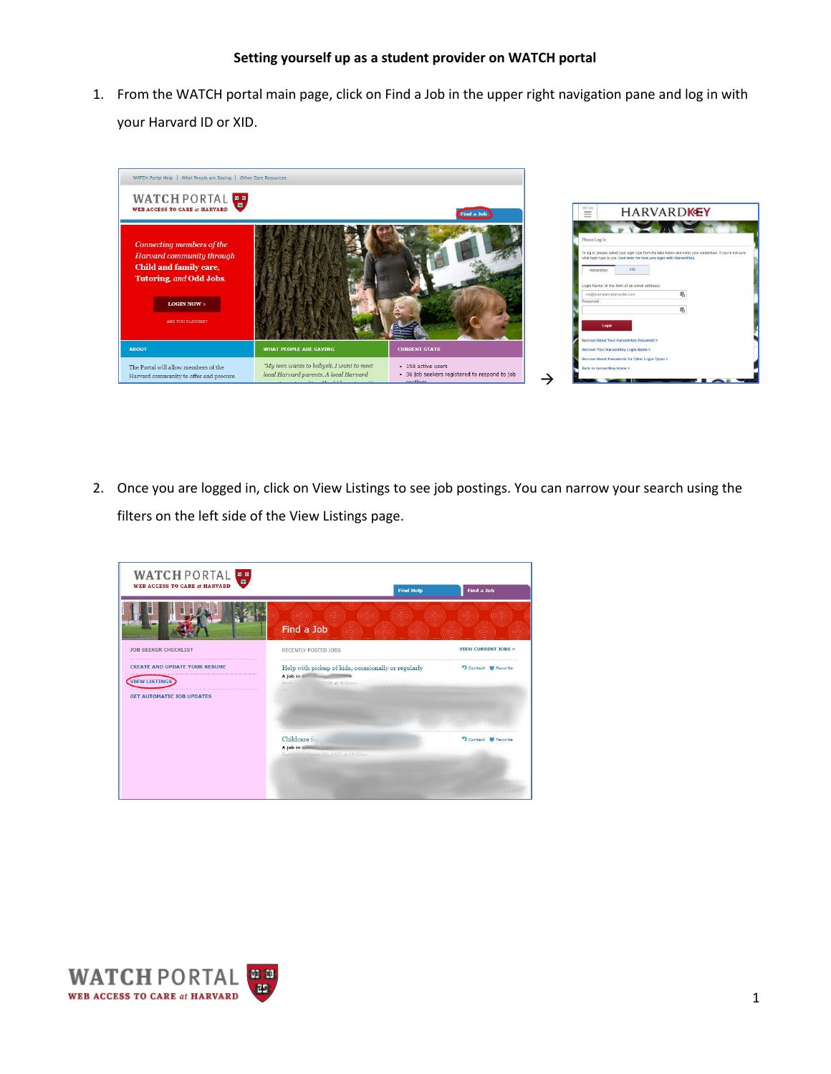## **Setting yourself up as a student provider on WATCH portal**

1. From the WATCH portal main page, click on Find a Job in the upper right navigation pane and log in with your Harvard ID or XID.



2. Once you are logged in, click on View Listings to see job postings. You can narrow your search using the filters on the left side of the View Listings page.



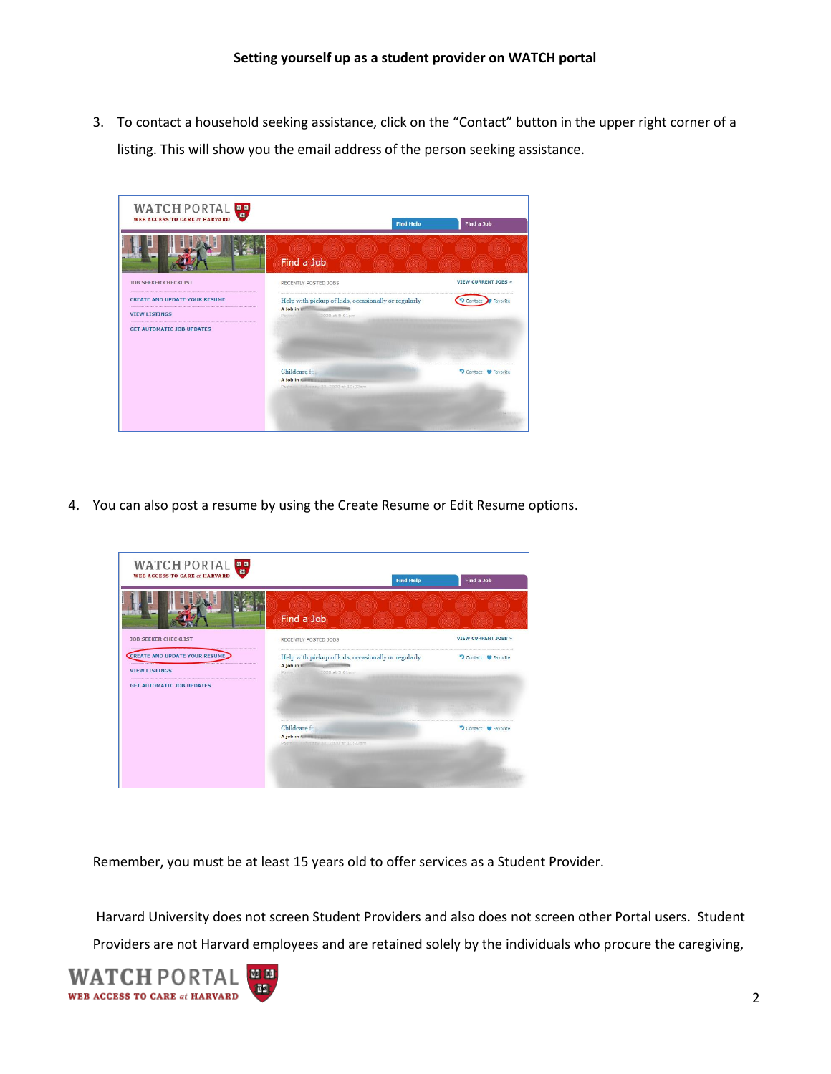3. To contact a household seeking assistance, click on the "Contact" button in the upper right corner of a listing. This will show you the email address of the person seeking assistance.

| WATCH PORTAL<br><b>WEB ACCESS TO CARE at HARVARD</b>                                             | <b>Find Help</b>                                                                          | Find a Job                                 |
|--------------------------------------------------------------------------------------------------|-------------------------------------------------------------------------------------------|--------------------------------------------|
|                                                                                                  | (1958) (1959) (1959) (1959) (1969)<br>Find a Job<br>- MASSANI - NASSANI                   | massam -<br>mms.<br>international material |
| <b>JOB SEEKER CHECKLIST</b>                                                                      | RECENTLY POSTED JOBS                                                                      | <b>VIEW CURRENT JOBS »</b>                 |
| <b>CREATE AND UPDATE YOUR RESUME</b><br><b>VIEW LISTINGS</b><br><b>GET AUTOMATIC JOB UPDATES</b> | Help with pickup of kids, occasionally or regularly<br>A job in<br>Postad: 2020 at 9:01pm | <b>P</b> Favorite                          |
|                                                                                                  | Childcare for<br>A job in Gillman<br>Poste 1 Fabruary 20, 2020 at 10:23am                 | Contact<br><b>W</b> Favorite               |

4. You can also post a resume by using the Create Resume or Edit Resume options.

| WATCH PORTAL<br><b>WEB ACCESS TO CARE at HARVARD</b>                                      | <b>Find Help</b>                                                                                 | Find a Job                 |
|-------------------------------------------------------------------------------------------|--------------------------------------------------------------------------------------------------|----------------------------|
|                                                                                           | (18) (18) (18) (18) (18) (18) (18) (18)<br>Find a Job<br>(see head) (koning (koning kaomining ka |                            |
| <b>JOB SEEKER CHECKLIST</b>                                                               | RECENTLY POSTED JOBS                                                                             | <b>VIEW CURRENT JOBS »</b> |
| CREATE AND UPDATE YOUR RESUME<br><b>VIEW LISTINGS</b><br><b>GET AUTOMATIC JOB UPDATES</b> | Help with pickup of kids, occasionally or regularly<br>A job in<br>Postadi III<br>2020 at 9:01pm | D Contact P Favorite       |
|                                                                                           | Childeare for<br>A job in Gillman<br>Posted in Fabruary 20 / 2020 at 10:23am                     | Contact C Favorite         |
|                                                                                           |                                                                                                  |                            |

Remember, you must be at least 15 years old to offer services as a Student Provider.

Harvard University does not screen Student Providers and also does not screen other Portal users. Student Providers are not Harvard employees and are retained solely by the individuals who procure the caregiving,